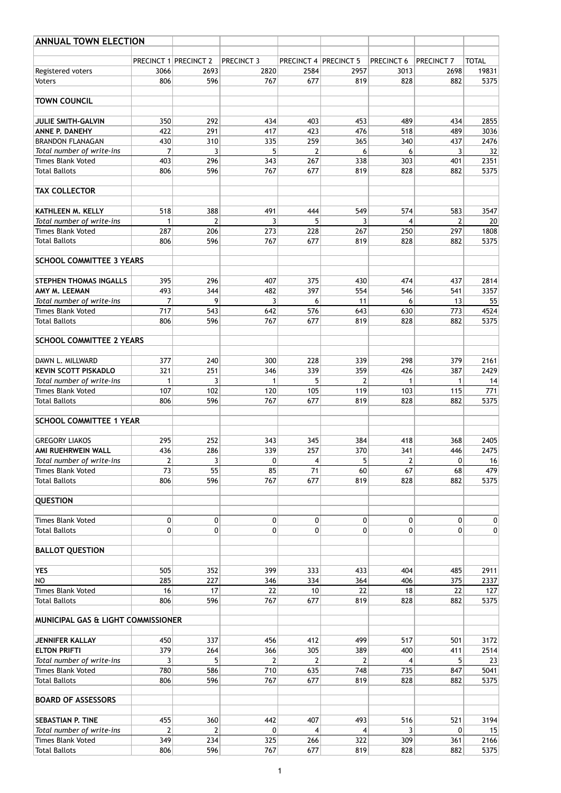| <b>ANNUAL TOWN ELECTION</b>                           |                |                              |                   |                              |           |                |                       |                  |
|-------------------------------------------------------|----------------|------------------------------|-------------------|------------------------------|-----------|----------------|-----------------------|------------------|
|                                                       |                | <b>PRECINCT 1 PRECINCT 2</b> | <b>PRECINCT 3</b> | <b>PRECINCT 4 PRECINCT 5</b> |           | PRECINCT 6     | PRECINCT <sub>7</sub> | <b>TOTAL</b>     |
| Registered voters                                     | 3066           | 2693                         | 2820              | 2584                         | 2957      | 3013           | 2698                  | 19831            |
| <b>Voters</b>                                         | 806            | 596                          | 767               | 677                          | 819       | 828            | 882                   | 5375             |
| <b>TOWN COUNCIL</b>                                   |                |                              |                   |                              |           |                |                       |                  |
| <b>JULIE SMITH-GALVIN</b>                             | 350            | 292                          | 434               | 403                          | 453       | 489            | 434                   | 2855             |
| ANNE P. DANEHY                                        | 422            | 291                          | 417               | 423                          | 476       | 518            | 489                   | 3036             |
| <b>BRANDON FLANAGAN</b>                               | 430            | 310                          | 335               | 259                          | 365       | 340            | 437                   | 2476             |
| Total number of write-ins                             | 7              | 3                            | 5                 | $\overline{2}$               | 6         | 6              | 3                     | 32               |
| <b>Times Blank Voted</b>                              | 403            | 296                          | 343               | 267                          | 338       | 303            | 401                   | 2351             |
| <b>Total Ballots</b>                                  | 806            | 596                          | 767               | 677                          | 819       | 828            | 882                   | 5375             |
| <b>TAX COLLECTOR</b>                                  |                |                              |                   |                              |           |                |                       |                  |
| <b>KATHLEEN M. KELLY</b>                              | 518            | 388                          | 491               | 444                          | 549       | 574            | 583                   | 3547             |
| Total number of write-ins                             |                | $\overline{2}$               | 3                 | 5                            | 3         | 4              | 2                     | 20               |
| <b>Times Blank Voted</b>                              | 287            | 206                          | 273               | 228                          | 267       | 250            | 297                   | 1808             |
| <b>Total Ballots</b>                                  | 806            | 596                          | 767               | 677                          | 819       | 828            | 882                   | 5375             |
| <b>SCHOOL COMMITTEE 3 YEARS</b>                       |                |                              |                   |                              |           |                |                       |                  |
| <b>STEPHEN THOMAS INGALLS</b>                         | 395            | 296                          | 407               | 375                          | 430       | 474            | 437                   | 2814             |
| AMY M. LEEMAN                                         | 493            | 344                          | 482               | 397                          | 554       | 546            | 541                   | 3357             |
| Total number of write-ins                             | 7              | 9                            | 3                 | 6                            | 11        | 6              | 13                    | 55               |
| <b>Times Blank Voted</b>                              | 717            | 543                          | 642               | 576                          | 643       | 630            | 773                   | 4524             |
| <b>Total Ballots</b>                                  | 806            | 596                          | 767               | 677                          | 819       | 828            | 882                   | 5375             |
| <b>SCHOOL COMMITTEE 2 YEARS</b>                       |                |                              |                   |                              |           |                |                       |                  |
|                                                       |                |                              |                   |                              |           |                |                       |                  |
| DAWN L. MILLWARD                                      | 377            | 240                          | 300               | 228                          | 339       | 298            | 379                   | 2161             |
| <b>KEVIN SCOTT PISKADLO</b>                           | 321            | 251                          | 346               | 339                          | 359       | 426            | 387                   | 2429             |
| Total number of write-ins<br><b>Times Blank Voted</b> | 107            | 3<br>102                     | 1<br>120          | 5<br>105                     | 2<br>119  | 1<br>103       | 1<br>115              | 14<br>771        |
| <b>Total Ballots</b>                                  | 806            | 596                          | 767               | 677                          | 819       | 828            | 882                   | 5375             |
| <b>SCHOOL COMMITTEE 1 YEAR</b>                        |                |                              |                   |                              |           |                |                       |                  |
|                                                       |                |                              |                   |                              |           |                |                       |                  |
| <b>GREGORY LIAKOS</b>                                 | 295            | 252                          | 343               | 345                          | 384       | 418            | 368                   | 2405             |
| AMI RUEHRWEIN WALL                                    | 436            | 286                          | 339               | 257                          | 370       | 341            | 446                   | 2475             |
| Total number of write-ins                             | $\overline{2}$ | 3                            | 0                 | 4                            | 5         | $\overline{2}$ | 0                     | 16               |
| <b>Times Blank Voted</b>                              | 73             | 55                           | 85                | 71                           | 60        | 67             | 68                    | 479              |
| <b>Total Ballots</b>                                  | 806            | 596                          | 767               | 677                          | 819       | 828            | 882                   | 5375             |
| <b>QUESTION</b>                                       |                |                              |                   |                              |           |                |                       |                  |
| <b>Times Blank Voted</b>                              | $\mathbf 0$    | $\overline{0}$               | $\pmb{0}$         | $\mathbf 0$                  | $\pmb{0}$ | $\mathbf 0$    | 0                     | $\boldsymbol{0}$ |
| <b>Total Ballots</b>                                  | $\mathbf{0}$   | 0                            | $\pmb{0}$         | 0                            | 0         | $\pmb{0}$      | 0                     | $\mathbf 0$      |
| <b>BALLOT QUESTION</b>                                |                |                              |                   |                              |           |                |                       |                  |
| <b>YES</b>                                            | 505            | 352                          | 399               | 333                          | 433       | 404            | 485                   | 2911             |
| <b>NO</b>                                             | 285            | 227                          | 346               | 334                          | 364       | 406            | 375                   | 2337             |
| <b>Times Blank Voted</b>                              | 16             | 17                           | 22                | 10                           | 22        | 18             | 22                    | 127              |
| <b>Total Ballots</b>                                  | 806            | 596                          | 767               | 677                          | 819       | 828            | 882                   | 5375             |
| <b>MUNICIPAL GAS &amp; LIGHT COMMISSIONER</b>         |                |                              |                   |                              |           |                |                       |                  |
|                                                       |                |                              |                   |                              |           |                |                       |                  |
| <b>JENNIFER KALLAY</b>                                | 450            | 337                          | 456               | 412                          | 499       | 517            | 501                   | 3172             |
| <b>ELTON PRIFTI</b>                                   | 379            | 264                          | 366               | 305                          | 389       | 400            | 411                   | 2514             |
| Total number of write-ins<br><b>Times Blank Voted</b> | 3<br>780       | 5<br>586                     | 2<br>710          | 2<br>635                     | 2<br>748  | 4<br>735       | 5<br>847              | 23<br>5041       |
|                                                       |                |                              |                   |                              |           |                |                       |                  |
| <b>Total Ballots</b>                                  | 806            | 596                          | 767               | 677                          | 819       | 828            | 882                   | 5375             |
| <b>BOARD OF ASSESSORS</b>                             |                |                              |                   |                              |           |                |                       |                  |
| <b>SEBASTIAN P. TINE</b>                              | 455            | 360                          | 442               | 407                          | 493       | 516            | 521                   | 3194             |
| Total number of write-ins                             | $\overline{2}$ | $\overline{2}$               | 0                 | 4                            | 4         | 3              | 0                     | 15               |
| <b>Times Blank Voted</b>                              | 349            | 234                          | 325               | 266                          | 322       | 309            | 361                   | 2166             |
| <b>Total Ballots</b>                                  | 806            | 596                          | 767               | 677                          | 819       | 828            | 882                   | 5375             |